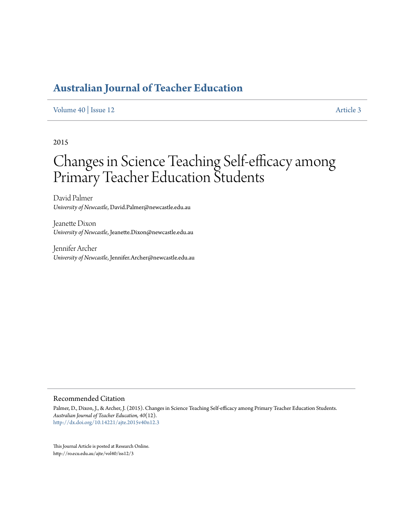# **[Australian Journal of Teacher Education](http://ro.ecu.edu.au/ajte)**

#### [Volume 40](http://ro.ecu.edu.au/ajte/vol40) | [Issue 12](http://ro.ecu.edu.au/ajte/vol40/iss12) [Article 3](http://ro.ecu.edu.au/ajte/vol40/iss12/3)

2015

# Changes in Science Teaching Self-efficacy among Primary Teacher Education Students

David Palmer *University of Newcastle*, David.Palmer@newcastle.edu.au

Jeanette Dixon *University of Newcastle*, Jeanette.Dixon@newcastle.edu.au

Jennifer Archer *University of Newcastle*, Jennifer.Archer@newcastle.edu.au

#### Recommended Citation

Palmer, D., Dixon, J., & Archer, J. (2015). Changes in Science Teaching Self-efficacy among Primary Teacher Education Students. *Australian Journal of Teacher Education, 40*(12). <http://dx.doi.org/10.14221/ajte.2015v40n12.3>

This Journal Article is posted at Research Online. http://ro.ecu.edu.au/ajte/vol40/iss12/3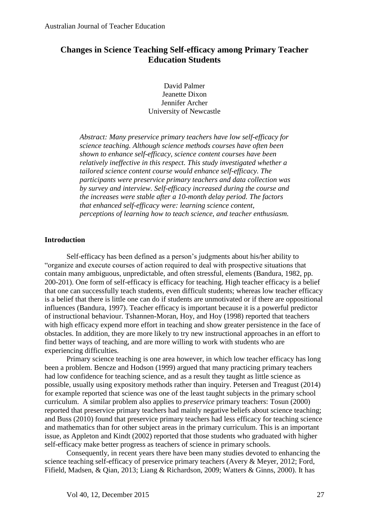# **Changes in Science Teaching Self-efficacy among Primary Teacher Education Students**

David Palmer Jeanette Dixon Jennifer Archer University of Newcastle

*Abstract: Many preservice primary teachers have low self-efficacy for science teaching. Although science methods courses have often been shown to enhance self-efficacy, science content courses have been relatively ineffective in this respect. This study investigated whether a tailored science content course would enhance self-efficacy. The participants were preservice primary teachers and data collection was by survey and interview. Self-efficacy increased during the course and the increases were stable after a 10-month delay period. The factors that enhanced self-efficacy were: learning science content, perceptions of learning how to teach science, and teacher enthusiasm.* 

# **Introduction**

Self-efficacy has been defined as a person's judgments about his/her ability to "organize and execute courses of action required to deal with prospective situations that contain many ambiguous, unpredictable, and often stressful, elements (Bandura, 1982, pp. 200-201). One form of self-efficacy is efficacy for teaching. High teacher efficacy is a belief that one can successfully teach students, even difficult students; whereas low teacher efficacy is a belief that there is little one can do if students are unmotivated or if there are oppositional influences (Bandura, 1997). Teacher efficacy is important because it is a powerful predictor of instructional behaviour. Tshannen-Moran, Hoy, and Hoy (1998) reported that teachers with high efficacy expend more effort in teaching and show greater persistence in the face of obstacles. In addition, they are more likely to try new instructional approaches in an effort to find better ways of teaching, and are more willing to work with students who are experiencing difficulties.

Primary science teaching is one area however, in which low teacher efficacy has long been a problem. Bencze and Hodson (1999) argued that many practicing primary teachers had low confidence for teaching science, and as a result they taught as little science as possible, usually using expository methods rather than inquiry. Petersen and Treagust (2014) for example reported that science was one of the least taught subjects in the primary school curriculum. A similar problem also applies to *preservice* primary teachers: Tosun (2000) reported that preservice primary teachers had mainly negative beliefs about science teaching; and Buss (2010) found that preservice primary teachers had less efficacy for teaching science and mathematics than for other subject areas in the primary curriculum. This is an important issue, as Appleton and Kindt (2002) reported that those students who graduated with higher self-efficacy make better progress as teachers of science in primary schools.

Consequently, in recent years there have been many studies devoted to enhancing the science teaching self-efficacy of preservice primary teachers (Avery & Meyer, 2012; Ford, Fifield, Madsen, & Qian, 2013; Liang & Richardson, 2009; Watters & Ginns, 2000). It has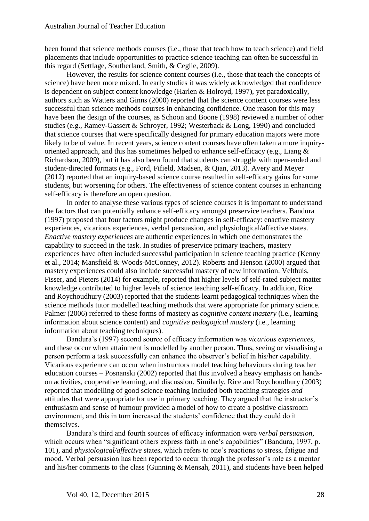been found that science methods courses (i.e., those that teach how to teach science) and field placements that include opportunities to practice science teaching can often be successful in this regard (Settlage, Southerland, Smith, & Ceglie, 2009).

However, the results for science content courses (i.e., those that teach the concepts of science) have been more mixed. In early studies it was widely acknowledged that confidence is dependent on subject content knowledge (Harlen & Holroyd, 1997), yet paradoxically, authors such as Watters and Ginns (2000) reported that the science content courses were less successful than science methods courses in enhancing confidence. One reason for this may have been the design of the courses, as Schoon and Boone (1998) reviewed a number of other studies (e.g., Ramey-Gassert & Schroyer, 1992; Westerback & Long, 1990) and concluded that science courses that were specifically designed for primary education majors were more likely to be of value. In recent years, science content courses have often taken a more inquiryoriented approach, and this has sometimes helped to enhance self-efficacy (e.g., Liang & Richardson, 2009), but it has also been found that students can struggle with open-ended and student-directed formats (e.g., Ford, Fifield, Madsen, & Qian, 2013). Avery and Meyer (2012) reported that an inquiry-based science course resulted in self-efficacy gains for some students, but worsening for others. The effectiveness of science content courses in enhancing self-efficacy is therefore an open question.

In order to analyse these various types of science courses it is important to understand the factors that can potentially enhance self-efficacy amongst preservice teachers. Bandura (1997) proposed that four factors might produce changes in self-efficacy: enactive mastery experiences, vicarious experiences, verbal persuasion, and physiological/affective states. *Enactive mastery experiences* are authentic experiences in which one demonstrates the capability to succeed in the task. In studies of preservice primary teachers, mastery experiences have often included successful participation in science teaching practice (Kenny et al., 2014; Mansfield & Woods-McConney, 2012). Roberts and Henson (2000) argued that mastery experiences could also include successful mastery of new information. Velthuis, Fisser, and Pieters (2014) for example, reported that higher levels of self-rated subject matter knowledge contributed to higher levels of science teaching self-efficacy. In addition, Rice and Roychoudhury (2003) reported that the students learnt pedagogical techniques when the science methods tutor modelled teaching methods that were appropriate for primary science. Palmer (2006) referred to these forms of mastery as *cognitive content mastery* (i.e., learning information about science content) and *cognitive pedagogical mastery* (i.e., learning information about teaching techniques).

Bandura's (1997) second source of efficacy information was *vicarious experiences*, and these occur when attainment is modelled by another person. Thus, seeing or visualising a person perform a task successfully can enhance the observer's belief in his/her capability. Vicarious experience can occur when instructors model teaching behaviours during teacher education courses – Posnanski (2002) reported that this involved a heavy emphasis on handson activities, cooperative learning, and discussion. Similarly, Rice and Roychoudhury (2003) reported that modelling of good science teaching included both teaching strategies *and* attitudes that were appropriate for use in primary teaching. They argued that the instructor's enthusiasm and sense of humour provided a model of how to create a positive classroom environment, and this in turn increased the students' confidence that they could do it themselves.

Bandura's third and fourth sources of efficacy information were *verbal persuasion*, which occurs when "significant others express faith in one's capabilities" (Bandura, 1997, p. 101), and *physiological/affective* states, which refers to one's reactions to stress, fatigue and mood. Verbal persuasion has been reported to occur through the professor's role as a mentor and his/her comments to the class (Gunning & Mensah, 2011), and students have been helped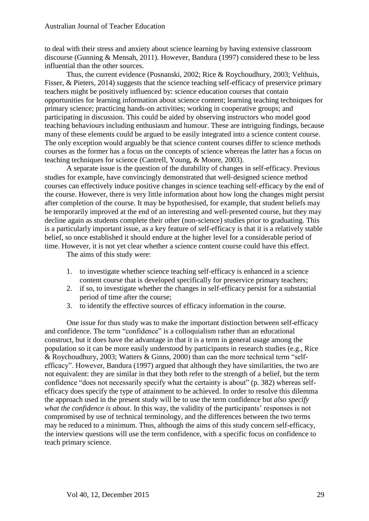to deal with their stress and anxiety about science learning by having extensive classroom discourse (Gunning & Mensah, 2011). However, Bandura (1997) considered these to be less influential than the other sources.

Thus, the current evidence (Posnanski, 2002; Rice & Roychoudhury, 2003; Velthuis, Fisser, & Pieters, 2014) suggests that the science teaching self-efficacy of preservice primary teachers might be positively influenced by: science education courses that contain opportunities for learning information about science content; learning teaching techniques for primary science; practicing hands-on activities; working in cooperative groups; and participating in discussion. This could be aided by observing instructors who model good teaching behaviours including enthusiasm and humour. These are intriguing findings, because many of these elements could be argued to be easily integrated into a science content course. The only exception would arguably be that science content courses differ to science methods courses as the former has a focus on the concepts of science whereas the latter has a focus on teaching techniques for science (Cantrell, Young, & Moore, 2003).

A separate issue is the question of the durability of changes in self-efficacy. Previous studies for example, have convincingly demonstrated that well‐designed science method courses can effectively induce positive changes in science teaching self‐efficacy by the end of the course. However, there is very little information about how long the changes might persist after completion of the course. It may be hypothesised, for example, that student beliefs may be temporarily improved at the end of an interesting and well-presented course, but they may decline again as students complete their other (non‐science) studies prior to graduating. This is a particularly important issue, as a key feature of self-efficacy is that it is a relatively stable belief, so once established it should endure at the higher level for a considerable period of time. However, it is not yet clear whether a science content course could have this effect.

The aims of this study were:

- 1. to investigate whether science teaching self-efficacy is enhanced in a science content course that is developed specifically for preservice primary teachers;
- 2. if so, to investigate whether the changes in self-efficacy persist for a substantial period of time after the course;
- 3. to identify the effective sources of efficacy information in the course.

One issue for thus study was to make the important distinction between self-efficacy and confidence. The term "confidence" is a colloquialism rather than an educational construct, but it does have the advantage in that it is a term in general usage among the population so it can be more easily understood by participants in research studies (e.g., Rice & Roychoudhury, 2003; Watters & Ginns, 2000) than can the more technical term "selfefficacy". However, Bandura (1997) argued that although they have similarities, the two are not equivalent: they are similar in that they both refer to the strength of a belief, but the term confidence "does not necessarily specify what the certainty is about" (p. 382) whereas selfefficacy does specify the type of attainment to be achieved. In order to resolve this dilemma the approach used in the present study will be to use the term confidence but *also specify what the confidence is about*. In this way, the validity of the participants' responses is not compromised by use of technical terminology, and the differences between the two terms may be reduced to a minimum. Thus, although the aims of this study concern self-efficacy, the interview questions will use the term confidence, with a specific focus on confidence to teach primary science.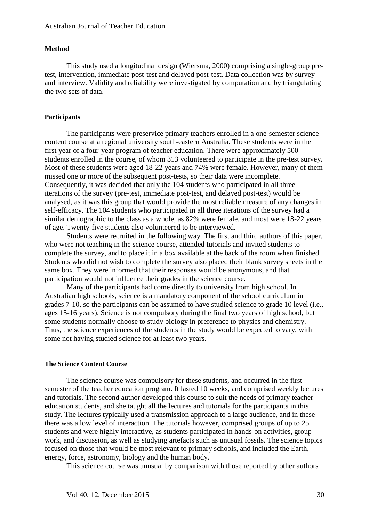#### **Method**

This study used a longitudinal design (Wiersma, 2000) comprising a single-group pretest, intervention, immediate post-test and delayed post-test. Data collection was by survey and interview. Validity and reliability were investigated by computation and by triangulating the two sets of data.

#### **Participants**

The participants were preservice primary teachers enrolled in a one-semester science content course at a regional university south-eastern Australia. These students were in the first year of a four-year program of teacher education. There were approximately 500 students enrolled in the course, of whom 313 volunteered to participate in the pre-test survey. Most of these students were aged 18-22 years and 74% were female. However, many of them missed one or more of the subsequent post-tests, so their data were incomplete. Consequently, it was decided that only the 104 students who participated in all three iterations of the survey (pre-test, immediate post-test, and delayed post-test) would be analysed, as it was this group that would provide the most reliable measure of any changes in self-efficacy. The 104 students who participated in all three iterations of the survey had a similar demographic to the class as a whole, as 82% were female, and most were 18-22 years of age. Twenty-five students also volunteered to be interviewed.

Students were recruited in the following way. The first and third authors of this paper, who were not teaching in the science course, attended tutorials and invited students to complete the survey, and to place it in a box available at the back of the room when finished. Students who did not wish to complete the survey also placed their blank survey sheets in the same box. They were informed that their responses would be anonymous, and that participation would not influence their grades in the science course.

Many of the participants had come directly to university from high school. In Australian high schools, science is a mandatory component of the school curriculum in grades 7-10, so the participants can be assumed to have studied science to grade 10 level (i.e., ages 15-16 years). Science is not compulsory during the final two years of high school, but some students normally choose to study biology in preference to physics and chemistry. Thus, the science experiences of the students in the study would be expected to vary, with some not having studied science for at least two years.

#### **The Science Content Course**

The science course was compulsory for these students, and occurred in the first semester of the teacher education program. It lasted 10 weeks, and comprised weekly lectures and tutorials. The second author developed this course to suit the needs of primary teacher education students, and she taught all the lectures and tutorials for the participants in this study. The lectures typically used a transmission approach to a large audience, and in these there was a low level of interaction. The tutorials however, comprised groups of up to 25 students and were highly interactive, as students participated in hands-on activities, group work, and discussion, as well as studying artefacts such as unusual fossils. The science topics focused on those that would be most relevant to primary schools, and included the Earth, energy, force, astronomy, biology and the human body.

This science course was unusual by comparison with those reported by other authors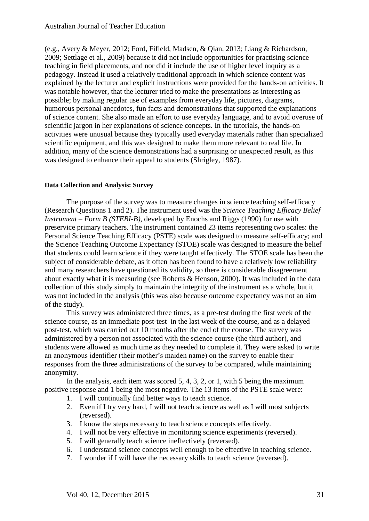(e.g., Avery & Meyer, 2012; Ford, Fifield, Madsen, & Qian, 2013; Liang & Richardson, 2009; Settlage et al., 2009) because it did not include opportunities for practising science teaching in field placements, and nor did it include the use of higher level inquiry as a pedagogy. Instead it used a relatively traditional approach in which science content was explained by the lecturer and explicit instructions were provided for the hands-on activities. It was notable however, that the lecturer tried to make the presentations as interesting as possible; by making regular use of examples from everyday life, pictures, diagrams, humorous personal anecdotes, fun facts and demonstrations that supported the explanations of science content. She also made an effort to use everyday language, and to avoid overuse of scientific jargon in her explanations of science concepts. In the tutorials, the hands-on activities were unusual because they typically used everyday materials rather than specialized scientific equipment, and this was designed to make them more relevant to real life. In addition, many of the science demonstrations had a surprising or unexpected result, as this was designed to enhance their appeal to students (Shrigley, 1987).

# **Data Collection and Analysis: Survey**

The purpose of the survey was to measure changes in science teaching self-efficacy (Research Questions 1 and 2). The instrument used was the *Science Teaching Efficacy Belief Instrument – Form B (STEBI-B)*, developed by Enochs and Riggs (1990) for use with preservice primary teachers. The instrument contained 23 items representing two scales: the Personal Science Teaching Efficacy (PSTE) scale was designed to measure self-efficacy; and the Science Teaching Outcome Expectancy (STOE) scale was designed to measure the belief that students could learn science if they were taught effectively. The STOE scale has been the subject of considerable debate, as it often has been found to have a relatively low reliability and many researchers have questioned its validity, so there is considerable disagreement about exactly what it is measuring (see Roberts & Henson, 2000). It was included in the data collection of this study simply to maintain the integrity of the instrument as a whole, but it was not included in the analysis (this was also because outcome expectancy was not an aim of the study).

This survey was administered three times, as a pre-test during the first week of the science course, as an immediate post-test in the last week of the course, and as a delayed post-test, which was carried out 10 months after the end of the course. The survey was administered by a person not associated with the science course (the third author), and students were allowed as much time as they needed to complete it. They were asked to write an anonymous identifier (their mother's maiden name) on the survey to enable their responses from the three administrations of the survey to be compared, while maintaining anonymity.

In the analysis, each item was scored 5, 4, 3, 2, or 1, with 5 being the maximum positive response and 1 being the most negative. The 13 items of the PSTE scale were:

- 1. I will continually find better ways to teach science.
- 2. Even if I try very hard, I will not teach science as well as I will most subjects (reversed).
- 3. I know the steps necessary to teach science concepts effectively.
- 4. I will not be very effective in monitoring science experiments (reversed).
- 5. I will generally teach science ineffectively (reversed).
- 6. I understand science concepts well enough to be effective in teaching science.
- 7. I wonder if I will have the necessary skills to teach science (reversed).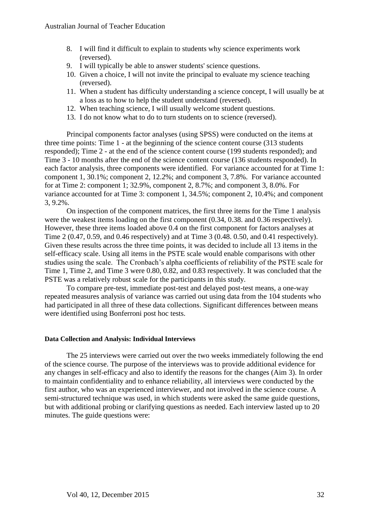- 8. I will find it difficult to explain to students why science experiments work (reversed).
- 9. I will typically be able to answer students' science questions.
- 10. Given a choice, I will not invite the principal to evaluate my science teaching (reversed).
- 11. When a student has difficulty understanding a science concept, I will usually be at a loss as to how to help the student understand (reversed).
- 12. When teaching science, I will usually welcome student questions.
- 13. I do not know what to do to turn students on to science (reversed).

Principal components factor analyses (using SPSS) were conducted on the items at three time points: Time 1 - at the beginning of the science content course (313 students responded); Time 2 - at the end of the science content course (199 students responded); and Time 3 - 10 months after the end of the science content course (136 students responded). In each factor analysis, three components were identified. For variance accounted for at Time 1: component 1, 30.1%; component 2, 12.2%; and component 3, 7.8%. For variance accounted for at Time 2: component 1; 32.9%, component 2, 8.7%; and component 3, 8.0%. For variance accounted for at Time 3: component 1, 34.5%; component 2, 10.4%; and component 3, 9.2%.

On inspection of the component matrices, the first three items for the Time 1 analysis were the weakest items loading on the first component (0.34, 0.38. and 0.36 respectively). However, these three items loaded above 0.4 on the first component for factors analyses at Time 2 (0.47, 0.59, and 0.46 respectively) and at Time 3 (0.48. 0.50, and 0.41 respectively). Given these results across the three time points, it was decided to include all 13 items in the self-efficacy scale. Using all items in the PSTE scale would enable comparisons with other studies using the scale. The Cronbach's alpha coefficients of reliability of the PSTE scale for Time 1, Time 2, and Time 3 were 0.80, 0.82, and 0.83 respectively. It was concluded that the PSTE was a relatively robust scale for the participants in this study.

To compare pre-test, immediate post-test and delayed post-test means, a one-way repeated measures analysis of variance was carried out using data from the 104 students who had participated in all three of these data collections. Significant differences between means were identified using Bonferroni post hoc tests.

# **Data Collection and Analysis: Individual Interviews**

The 25 interviews were carried out over the two weeks immediately following the end of the science course. The purpose of the interviews was to provide additional evidence for any changes in self-efficacy and also to identify the reasons for the changes (Aim 3). In order to maintain confidentiality and to enhance reliability, all interviews were conducted by the first author, who was an experienced interviewer, and not involved in the science course. A semi-structured technique was used, in which students were asked the same guide questions, but with additional probing or clarifying questions as needed. Each interview lasted up to 20 minutes. The guide questions were: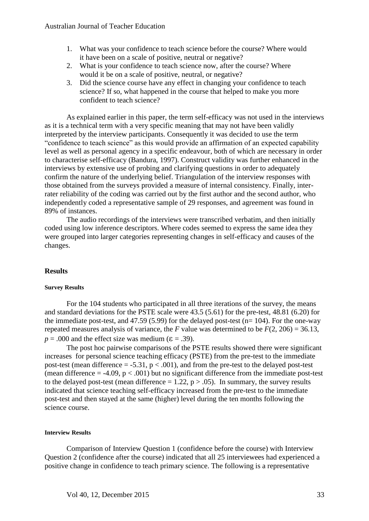- 1. What was your confidence to teach science before the course? Where would it have been on a scale of positive, neutral or negative?
- 2. What is your confidence to teach science now, after the course? Where would it be on a scale of positive, neutral, or negative?
- 3. Did the science course have any effect in changing your confidence to teach science? If so, what happened in the course that helped to make you more confident to teach science?

As explained earlier in this paper, the term self-efficacy was not used in the interviews as it is a technical term with a very specific meaning that may not have been validly interpreted by the interview participants. Consequently it was decided to use the term "confidence to teach science" as this would provide an affirmation of an expected capability level as well as personal agency in a specific endeavour, both of which are necessary in order to characterise self-efficacy (Bandura, 1997). Construct validity was further enhanced in the interviews by extensive use of probing and clarifying questions in order to adequately confirm the nature of the underlying belief. Triangulation of the interview responses with those obtained from the surveys provided a measure of internal consistency. Finally, interrater reliability of the coding was carried out by the first author and the second author, who independently coded a representative sample of 29 responses, and agreement was found in 89% of instances.

The audio recordings of the interviews were transcribed verbatim, and then initially coded using low inference descriptors. Where codes seemed to express the same idea they were grouped into larger categories representing changes in self-efficacy and causes of the changes.

# **Results**

#### **Survey Results**

For the 104 students who participated in all three iterations of the survey, the means and standard deviations for the PSTE scale were 43.5 (5.61) for the pre-test, 48.81 (6.20) for the immediate post-test, and 47.59 (5.99) for the delayed post-test ( $n= 104$ ). For the one-way repeated measures analysis of variance, the *F* value was determined to be  $F(2, 206) = 36.13$ ,  $p = .000$  and the effect size was medium ( $\varepsilon = .39$ ).

The post hoc pairwise comparisons of the PSTE results showed there were significant increases for personal science teaching efficacy (PSTE) from the pre-test to the immediate post-test (mean difference  $= -5.31$ ,  $p < .001$ ), and from the pre-test to the delayed post-test (mean difference  $= -4.09$ ,  $p < .001$ ) but no significant difference from the immediate post-test to the delayed post-test (mean difference  $= 1.22$ ,  $p > .05$ ). In summary, the survey results indicated that science teaching self-efficacy increased from the pre-test to the immediate post-test and then stayed at the same (higher) level during the ten months following the science course.

#### **Interview Results**

Comparison of Interview Question 1 (confidence before the course) with Interview Question 2 (confidence after the course) indicated that all 25 interviewees had experienced a positive change in confidence to teach primary science. The following is a representative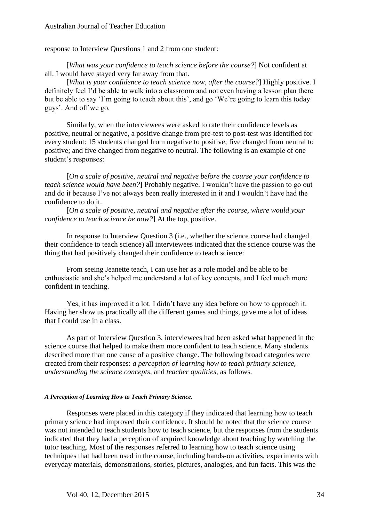response to Interview Questions 1 and 2 from one student:

[*What was your confidence to teach science before the course?*] Not confident at all. I would have stayed very far away from that.

[*What is your confidence to teach science now, after the course?*] Highly positive. I definitely feel I'd be able to walk into a classroom and not even having a lesson plan there but be able to say 'I'm going to teach about this', and go 'We're going to learn this today guys'. And off we go.

Similarly, when the interviewees were asked to rate their confidence levels as positive, neutral or negative, a positive change from pre-test to post-test was identified for every student: 15 students changed from negative to positive; five changed from neutral to positive; and five changed from negative to neutral. The following is an example of one student's responses:

[*On a scale of positive, neutral and negative before the course your confidence to teach science would have been?*] Probably negative. I wouldn't have the passion to go out and do it because I've not always been really interested in it and I wouldn't have had the confidence to do it.

[*On a scale of positive, neutral and negative after the course, where would your confidence to teach science be now?*] At the top, positive.

In response to Interview Question 3 (i.e., whether the science course had changed their confidence to teach science) all interviewees indicated that the science course was the thing that had positively changed their confidence to teach science:

From seeing Jeanette teach, I can use her as a role model and be able to be enthusiastic and she's helped me understand a lot of key concepts, and I feel much more confident in teaching.

Yes, it has improved it a lot. I didn't have any idea before on how to approach it. Having her show us practically all the different games and things, gave me a lot of ideas that I could use in a class.

As part of Interview Question 3, interviewees had been asked what happened in the science course that helped to make them more confident to teach science. Many students described more than one cause of a positive change. The following broad categories were created from their responses: *a perception of learning how to teach primary science, understanding the science concepts,* and *teacher qualities,* as follows*.*

#### *A Perception of Learning How to Teach Primary Science.*

Responses were placed in this category if they indicated that learning how to teach primary science had improved their confidence. It should be noted that the science course was not intended to teach students how to teach science, but the responses from the students indicated that they had a perception of acquired knowledge about teaching by watching the tutor teaching. Most of the responses referred to learning how to teach science using techniques that had been used in the course, including hands-on activities, experiments with everyday materials, demonstrations, stories, pictures, analogies, and fun facts. This was the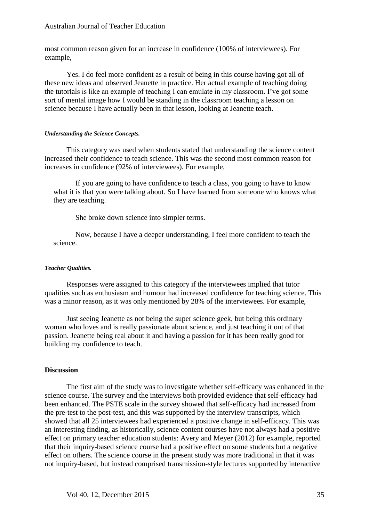most common reason given for an increase in confidence (100% of interviewees). For example,

Yes. I do feel more confident as a result of being in this course having got all of these new ideas and observed Jeanette in practice. Her actual example of teaching doing the tutorials is like an example of teaching I can emulate in my classroom. I've got some sort of mental image how I would be standing in the classroom teaching a lesson on science because I have actually been in that lesson, looking at Jeanette teach.

#### *Understanding the Science Concepts.*

This category was used when students stated that understanding the science content increased their confidence to teach science. This was the second most common reason for increases in confidence (92% of interviewees). For example,

If you are going to have confidence to teach a class, you going to have to know what it is that you were talking about. So I have learned from someone who knows what they are teaching.

She broke down science into simpler terms.

Now, because I have a deeper understanding, I feel more confident to teach the science.

# *Teacher Qualities.*

Responses were assigned to this category if the interviewees implied that tutor qualities such as enthusiasm and humour had increased confidence for teaching science. This was a minor reason, as it was only mentioned by 28% of the interviewees. For example,

Just seeing Jeanette as not being the super science geek, but being this ordinary woman who loves and is really passionate about science, and just teaching it out of that passion. Jeanette being real about it and having a passion for it has been really good for building my confidence to teach.

# **Discussion**

The first aim of the study was to investigate whether self-efficacy was enhanced in the science course. The survey and the interviews both provided evidence that self-efficacy had been enhanced. The PSTE scale in the survey showed that self-efficacy had increased from the pre-test to the post-test, and this was supported by the interview transcripts, which showed that all 25 interviewees had experienced a positive change in self-efficacy. This was an interesting finding, as historically, science content courses have not always had a positive effect on primary teacher education students: Avery and Meyer (2012) for example, reported that their inquiry-based science course had a positive effect on some students but a negative effect on others. The science course in the present study was more traditional in that it was not inquiry-based, but instead comprised transmission-style lectures supported by interactive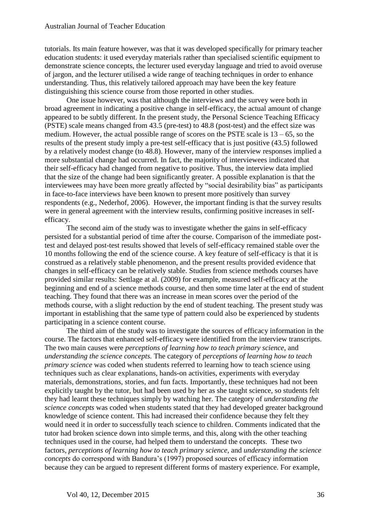tutorials. Its main feature however, was that it was developed specifically for primary teacher education students: it used everyday materials rather than specialised scientific equipment to demonstrate science concepts, the lecturer used everyday language and tried to avoid overuse of jargon, and the lecturer utilised a wide range of teaching techniques in order to enhance understanding. Thus, this relatively tailored approach may have been the key feature distinguishing this science course from those reported in other studies.

One issue however, was that although the interviews and the survey were both in broad agreement in indicating a positive change in self-efficacy, the actual amount of change appeared to be subtly different. In the present study, the Personal Science Teaching Efficacy (PSTE) scale means changed from 43.5 (pre-test) to 48.8 (post-test) and the effect size was medium. However, the actual possible range of scores on the PSTE scale is  $13 - 65$ , so the results of the present study imply a pre-test self-efficacy that is just positive (43.5) followed by a relatively modest change (to 48.8). However, many of the interview responses implied a more substantial change had occurred. In fact, the majority of interviewees indicated that their self-efficacy had changed from negative to positive. Thus, the interview data implied that the size of the change had been significantly greater. A possible explanation is that the interviewees may have been more greatly affected by "social desirability bias" as participants in face-to-face interviews have been known to present more positively than survey respondents (e.g., Nederhof, 2006). However, the important finding is that the survey results were in general agreement with the interview results, confirming positive increases in selfefficacy.

The second aim of the study was to investigate whether the gains in self-efficacy persisted for a substantial period of time after the course. Comparison of the immediate posttest and delayed post-test results showed that levels of self-efficacy remained stable over the 10 months following the end of the science course. A key feature of self-efficacy is that it is construed as a relatively stable phenomenon, and the present results provided evidence that changes in self-efficacy can be relatively stable. Studies from science methods courses have provided similar results: Settlage at al. (2009) for example, measured self-efficacy at the beginning and end of a science methods course, and then some time later at the end of student teaching. They found that there was an increase in mean scores over the period of the methods course, with a slight reduction by the end of student teaching. The present study was important in establishing that the same type of pattern could also be experienced by students participating in a science content course.

The third aim of the study was to investigate the sources of efficacy information in the course. The factors that enhanced self-efficacy were identified from the interview transcripts. The two main causes were *perceptions of learning how to teach primary science*, and *understanding the science concepts.* The category of *perceptions of learning how to teach primary science* was coded when students referred to learning how to teach science using techniques such as clear explanations, hands-on activities, experiments with everyday materials, demonstrations, stories, and fun facts. Importantly, these techniques had not been explicitly taught by the tutor, but had been used by her as she taught science, so students felt they had learnt these techniques simply by watching her. The category of *understanding the science concepts* was coded when students stated that they had developed greater background knowledge of science content. This had increased their confidence because they felt they would need it in order to successfully teach science to children. Comments indicated that the tutor had broken science down into simple terms, and this, along with the other teaching techniques used in the course, had helped them to understand the concepts. These two factors, *perceptions of learning how to teach primary science*, and *understanding the science concepts* do correspond with Bandura's (1997) proposed sources of efficacy information because they can be argued to represent different forms of mastery experience. For example,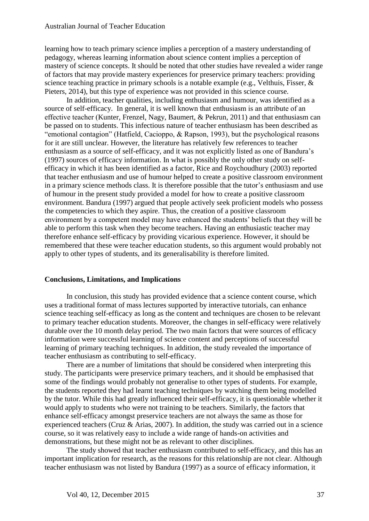learning how to teach primary science implies a perception of a mastery understanding of pedagogy, whereas learning information about science content implies a perception of mastery of science concepts. It should be noted that other studies have revealed a wider range of factors that may provide mastery experiences for preservice primary teachers: providing science teaching practice in primary schools is a notable example (e.g., Velthuis, Fisser, & Pieters, 2014), but this type of experience was not provided in this science course.

In addition, teacher qualities, including enthusiasm and humour, was identified as a source of self-efficacy. In general, it is well known that enthusiasm is an attribute of an effective teacher (Kunter, Frenzel, Nagy, Baumert, & Pekrun, 2011) and that enthusiasm can be passed on to students. This infectious nature of teacher enthusiasm has been described as "emotional contagion" (Hatfield, Cacioppo, & Rapson, 1993), but the psychological reasons for it are still unclear. However, the literature has relatively few references to teacher enthusiasm as a source of self-efficacy, and it was not explicitly listed as one of Bandura's (1997) sources of efficacy information. In what is possibly the only other study on selfefficacy in which it has been identified as a factor, Rice and Roychoudhury (2003) reported that teacher enthusiasm and use of humour helped to create a positive classroom environment in a primary science methods class. It is therefore possible that the tutor's enthusiasm and use of humour in the present study provided a model for how to create a positive classroom environment. Bandura (1997) argued that people actively seek proficient models who possess the competencies to which they aspire. Thus, the creation of a positive classroom environment by a competent model may have enhanced the students' beliefs that they will be able to perform this task when they become teachers. Having an enthusiastic teacher may therefore enhance self-efficacy by providing vicarious experience. However, it should be remembered that these were teacher education students, so this argument would probably not apply to other types of students, and its generalisability is therefore limited.

# **Conclusions, Limitations, and Implications**

In conclusion, this study has provided evidence that a science content course, which uses a traditional format of mass lectures supported by interactive tutorials, can enhance science teaching self-efficacy as long as the content and techniques are chosen to be relevant to primary teacher education students. Moreover, the changes in self-efficacy were relatively durable over the 10 month delay period. The two main factors that were sources of efficacy information were successful learning of science content and perceptions of successful learning of primary teaching techniques. In addition, the study revealed the importance of teacher enthusiasm as contributing to self-efficacy.

There are a number of limitations that should be considered when interpreting this study. The participants were preservice primary teachers, and it should be emphasised that some of the findings would probably not generalise to other types of students. For example, the students reported they had learnt teaching techniques by watching them being modelled by the tutor. While this had greatly influenced their self-efficacy, it is questionable whether it would apply to students who were not training to be teachers. Similarly, the factors that enhance self-efficacy amongst preservice teachers are not always the same as those for experienced teachers (Cruz & Arias, 2007). In addition, the study was carried out in a science course, so it was relatively easy to include a wide range of hands-on activities and demonstrations, but these might not be as relevant to other disciplines.

The study showed that teacher enthusiasm contributed to self-efficacy, and this has an important implication for research, as the reasons for this relationship are not clear. Although teacher enthusiasm was not listed by Bandura (1997) as a source of efficacy information, it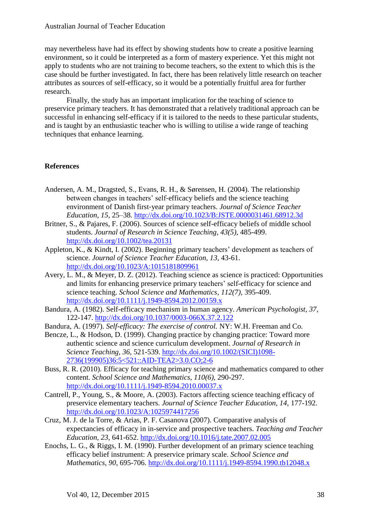#### Australian Journal of Teacher Education

may nevertheless have had its effect by showing students how to create a positive learning environment, so it could be interpreted as a form of mastery experience. Yet this might not apply to students who are not training to become teachers, so the extent to which this is the case should be further investigated. In fact, there has been relatively little research on teacher attributes as sources of self-efficacy, so it would be a potentially fruitful area for further research.

Finally, the study has an important implication for the teaching of science to preservice primary teachers. It has demonstrated that a relatively traditional approach can be successful in enhancing self-efficacy if it is tailored to the needs to these particular students, and is taught by an enthusiastic teacher who is willing to utilise a wide range of teaching techniques that enhance learning.

# **References**

- Andersen, A. M., Dragsted, S., Evans, R. H., & Sørensen, H. (2004). The relationship between changes in teachers' self-efficacy beliefs and the science teaching environment of Danish first‐year primary teachers. *Journal of Science Teacher Education*, *15*, 25–38. <http://dx.doi.org/10.1023/B:JSTE.0000031461.68912.3d>
- Britner, S., & Pajares, F. (2006). Sources of science self-efficacy beliefs of middle school students. *Journal of Research in Science Teaching, 43(5),* 485-499. <http://dx.doi.org/10.1002/tea.20131>
- Appleton, K., & Kindt, I. (2002). Beginning primary teachers' development as teachers of science. *Journal of Science Teacher Education, 13*, 43-61. <http://dx.doi.org/10.1023/A:1015181809961>
- Avery, L. M., & Meyer, D. Z. (2012). Teaching science as science is practiced: Opportunities and limits for enhancing preservice primary teachers' self-efficacy for science and science teaching. *School Science and Mathematics, 112(7),* 395-409. <http://dx.doi.org/10.1111/j.1949-8594.2012.00159.x>
- Bandura, A. (1982). Self-efficacy mechanism in human agency. *American Psychologist, 37*, 122-147. <http://dx.doi.org/10.1037/0003-066X.37.2.122>
- Bandura, A. (1997). *Self-efficacy: The exercise of control.* NY: W.H. Freeman and Co.
- Bencze, L., & Hodson, D. (1999). Changing practice by changing practice: Toward more authentic science and science curriculum development. *Journal of Research in Science Teaching, 36*, 521-539. [http://dx.doi.org/10.1002/\(SICI\)1098-](http://dx.doi.org/10.1002/(SICI)1098-2736(199905)36:5%3c521::AID-TEA2%3e3.0.CO;2-6) [2736\(199905\)36:5<521::AID-TEA2>3.0.CO;2-6](http://dx.doi.org/10.1002/(SICI)1098-2736(199905)36:5%3c521::AID-TEA2%3e3.0.CO;2-6)
- Buss, R. R. (2010). Efficacy for teaching primary science and mathematics compared to other content. *School Science and Mathematics, 110(6),* 290-297. <http://dx.doi.org/10.1111/j.1949-8594.2010.00037.x>
- Cantrell, P., Young, S., & Moore, A. (2003). Factors affecting science teaching efficacy of preservice elementary teachers. *Journal of Science Teacher Education, 14*, 177-192. <http://dx.doi.org/10.1023/A:1025974417256>
- Cruz, M. J. de la Torre, & Arias, P. F. Casanova (2007). Comparative analysis of expectancies of efficacy in in-service and prospective teachers. *Teaching and Teacher Education, 23*, 641-652. <http://dx.doi.org/10.1016/j.tate.2007.02.005>
- Enochs, L. G., & Riggs, I. M. (1990). Further development of an primary science teaching efficacy belief instrument: A preservice primary scale. *School Science and Mathematics, 90*, 695-706. <http://dx.doi.org/10.1111/j.1949-8594.1990.tb12048.x>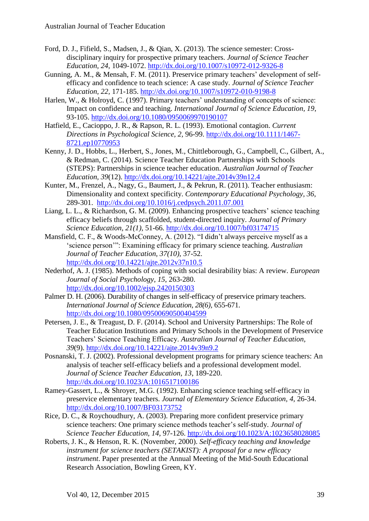- Ford, D. J., Fifield, S., Madsen, J., & Qian, X. (2013). The science semester: Crossdisciplinary inquiry for prospective primary teachers. *Journal of Science Teacher Education, 24*, 1049-1072.<http://dx.doi.org/10.1007/s10972-012-9326-8>
- Gunning, A. M., & Mensah, F. M. (2011). Preservice primary teachers' development of selfefficacy and confidence to teach science: A case study. *Journal of Science Teacher Education, 22,* 171-185.<http://dx.doi.org/10.1007/s10972-010-9198-8>
- Harlen, W., & Holroyd, C. (1997). Primary teachers' understanding of concepts of science: Impact on confidence and teaching. *International Journal of Science Education, 19*, 93-105. <http://dx.doi.org/10.1080/0950069970190107>
- Hatfield, E., Cacioppo, J. R., & Rapson, R. L. (1993). Emotional contagion. *Current Directions in Psychological Science, 2,* 96-99. [http://dx.doi.org/10.1111/1467-](http://dx.doi.org/10.1111/1467-8721.ep10770953) [8721.ep10770953](http://dx.doi.org/10.1111/1467-8721.ep10770953)
- Kenny, J. D., Hobbs, L., Herbert, S., Jones, M., Chittleborough, G., Campbell, C., Gilbert, A., & Redman, C. (2014). Science Teacher Education Partnerships with Schools (STEPS): Partnerships in science teacher education. *Australian Journal of Teacher Education, 39*(12).<http://dx.doi.org/10.14221/ajte.2014v39n12.4>
- Kunter, M., Frenzel, A., Nagy, G., Baumert, J., & Pekrun, R. (2011). Teacher enthusiasm: Dimensionality and context specificity. *Contemporary Educational Psychology, 36*, 289-301. <http://dx.doi.org/10.1016/j.cedpsych.2011.07.001>
- Liang, L. L., & Richardson, G. M. (2009). Enhancing prospective teachers' science teaching efficacy beliefs through scaffolded, student-directed inquiry. *Journal of Primary Science Education, 21(1),* 51-66. <http://dx.doi.org/10.1007/bf03174715>
- Mansfield, C. F., & Woods-McConney, A. (2012). "I didn't always perceive myself as a 'science person'": Examining efficacy for primary science teaching. *Australian Journal of Teacher Education, 37(10),* 37-52. <http://dx.doi.org/10.14221/ajte.2012v37n10.5>
- Nederhof, A. J. (1985). Methods of coping with social desirability bias: A review. *European Journal of Social Psychology, 15*, 263-280. <http://dx.doi.org/10.1002/ejsp.2420150303>
- Palmer D. H. (2006). Durability of changes in self-efficacy of preservice primary teachers. *International Journal of Science Education, 28(6),* 655-671. <http://dx.doi.org/10.1080/09500690500404599>
- Petersen, J. E., & Treagust, D. F. (2014). School and University Partnerships: The Role of Teacher Education Institutions and Primary Schools in the Development of Preservice Teachers' Science Teaching Efficacy. *Australian Journal of Teacher Education, 39*(9).<http://dx.doi.org/10.14221/ajte.2014v39n9.2>
- Posnanski, T. J. (2002). Professional development programs for primary science teachers: An analysis of teacher self-efficacy beliefs and a professional development model. *Journal of Science Teacher Education, 13*, 189-220. <http://dx.doi.org/10.1023/A:1016517100186>
- Ramey-Gassert, L., & Shroyer, M.G. (1992). Enhancing science teaching self-efficacy in preservice elementary teachers. *Journal of Elementary Science Education, 4,* 26-34. <http://dx.doi.org/10.1007/BF03173752>
- Rice, D. C., & Roychoudhury, A. (2003). Preparing more confident preservice primary science teachers: One primary science methods teacher's self-study. *Journal of Science Teacher Education, 14,* 97-126. <http://dx.doi.org/10.1023/A:1023658028085>
- Roberts, J. K., & Henson, R. K. (November, 2000). *Self-efficacy teaching and knowledge instrument for science teachers (SETAKIST): A proposal for a new efficacy instrument*. Paper presented at the Annual Meeting of the Mid-South Educational Research Association, Bowling Green, KY.